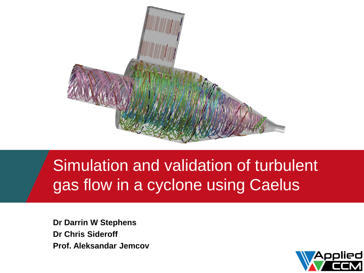

### Simulation and validation of turbulent gas flow in a cyclone using Caelus

**Dr Darrin W Stephens Dr Chris Sideroff Prof. Aleksandar Jemcov**

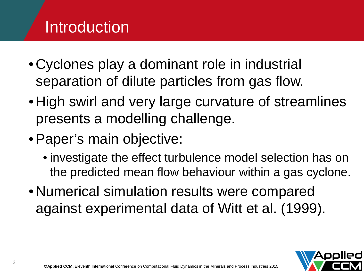# **Introduction**

- Cyclones play a dominant role in industrial separation of dilute particles from gas flow.
- High swirl and very large curvature of streamlines presents a modelling challenge.
- •Paper's main objective:
	- investigate the effect turbulence model selection has on the predicted mean flow behaviour within a gas cyclone.
- Numerical simulation results were compared against experimental data of Witt et al. (1999).

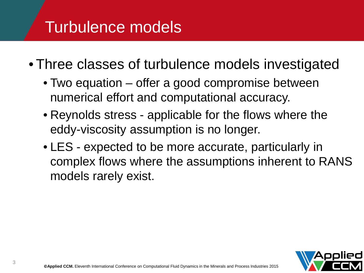### Turbulence models

• Three classes of turbulence models investigated

- Two equation offer a good compromise between numerical effort and computational accuracy.
- Reynolds stress applicable for the flows where the eddy-viscosity assumption is no longer.
- LES expected to be more accurate, particularly in complex flows where the assumptions inherent to RANS models rarely exist.

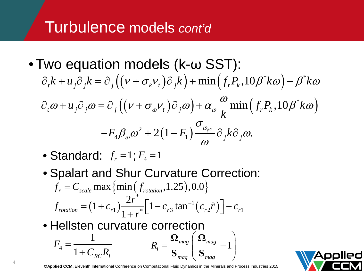### Turbulence models *cont'd*

- Two equation models (k-ω SST):  $\partial_t k + u_i \partial_j k = \partial_j ((v + \sigma_k v_i) \partial_j k) + \min (f_i P_k, 10 \beta^* k \omega) - \beta^* k \omega$  $\alpha_{t} \omega + u_{j} \partial_{j} \omega = \partial_{j} \left( \left( v + \sigma_{\omega} v_{t} \right) \partial_{j} \omega \right) + \alpha_{\omega} \frac{\omega}{l_{s}} \min \left( f_{r} P_{k}, 10 \beta^{*} k \omega \right)$  $^{2}+2(1-F_{1})\frac{a_{\phi_{2}}}{\sigma_{2}}$  $F_4\beta_{\omega}\omega^2+2\big(1-F_1\big)\frac{\partial \phi_2}{\partial x^2}\partial_jk\partial_j\omega.$  $u_j \partial_j \omega = \partial_j ((v + \sigma_{\omega} v_t) \partial_j \omega) + \alpha_{\omega} \frac{\omega}{k} \min(f_r P_k, 10 \beta^* k$  $\omega$  t  $\omega$  i  $\omega$ ω ω  $\partial_{t} \omega + u_{i} \partial_{i} \omega = \partial_{i} ((v + \sigma_{\omega} v_{t}) \partial_{i} \omega) + \alpha_{\omega} \frac{\omega}{\hbar} \min (f_{r} P_{k}, 10 \beta^{*} k \omega)$ σ  $\beta_{\omega} \omega^2 + 2(1-F_1) \frac{\omega_{\phi 2}}{2} \partial \, \frac{1}{2}k \partial \, \frac{\omega_{\phi 2}}{2}$ ω  $-F_{\scriptscriptstyle{A}}\beta_{\scriptscriptstyle{o\alpha}}\omega^2+2(1-F_{\scriptscriptstyle{1}})^{\scriptscriptstyle{-\alpha\alpha_{\phi2}}}\partial_{\scriptscriptstyle{j}}k\partial_{\scriptscriptstyle{j}}$ 
	- Standard:  $f_r = 1; F_4 = 1$
	- Spalart and Shur Curvature Correction: • Hellsten curvature correction  $f_r^{} = \displaystyle C_{\tiny scale}^{} \max \left\{ \min \left( f_{\tiny rotation}^{}, 1.25 \right) , 0.0 \right\}$  $(1 + c_{r1}) \frac{2r}{1}$  |  $1 - c_{r3} \tan^{-1}(c_{r2} \tilde{r})$ \* 1  $\left[1+c_{r1}\right)\frac{2r^*}{1+r^*}\left[1-c_{r3}\tan^{-1}(c_{r2}\tilde{r})\right]-c_{r1}$  $r_{rotation}$   $\begin{bmatrix} 1 & v_{r1} \end{bmatrix}$   $\begin{bmatrix} 1 & v_{r2} \end{bmatrix}$   $\begin{bmatrix} 1 & v_{r2} \end{bmatrix}$   $\begin{bmatrix} 1 & v_{r1} \end{bmatrix}$   $\begin{bmatrix} 1 & v_{r1} \end{bmatrix}$  $f_{rotation} = (1 + c_{r1}) \frac{2r^*}{1 - r} \left[ 1 - c_{r3} \tan^{-1} (c_{r2} \tilde{r}) \right] - c_{r2}$  $= (1 + c_{r1}) \frac{2r}{1 + r^*} \left[ 1 - c_{r3} \tan^{-1} (c_{r2} \tilde{r}) \right] -$ 4 1  $1 + C_{RC} R_i$ *F*  $C_{RC}R$ = +  $R_i = \frac{12 m a g}{S} \left| \frac{12 m a g}{S} - 1 \right|$  $_{mag}$   $\vee$   $_{mag}$  $\left(\ \boldsymbol{\Omega}_{_{\mathrm{meas}}}\ \right)$  $=\frac{1-\text{mag}}{2} \left| \frac{1-\text{mag}}{2} - 1 \right|$  $\big\langle S_{mag} \big\rangle$  $\boldsymbol{\Omega}_{_{mag}}$   $\boldsymbol{\Omega}$  $\mathbf{S}_{_{mag}} \mid \mathbf{S}$

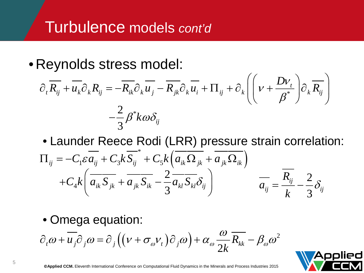### Turbulence models *cont'd*

• Reynolds stress model:

$$
\partial_t \overline{R_{ij}} + \overline{u_k} \partial_k R_{ij} = -\overline{R_{ik}} \partial_k \overline{u_j} - \overline{R_{jk}} \partial_k \overline{u_i} + \Pi_{ij} + \partial_k \left( \left( \nu + \frac{Dv_t}{\beta^*} \right) \partial_k \overline{R_{ij}} \right)
$$

$$
- \frac{2}{3} \beta^* k \omega \delta_{ij}
$$

• Launder Reece Rodi (LRR) pressure strain correlation:

$$
\Pi_{ij} = -C_1 \varepsilon \overline{a_{ij}} + C_3 k \overline{S_{ij}}^* + C_5 k \left( \overline{a_{ik} \Omega_{jk}} + \overline{a_{jk} \Omega_{ik}} \right) \n+ C_4 k \left( \overline{a_{ik} S_{jk}} + \overline{a_{jk} S_{ik}} - \frac{2}{3} \overline{a_{kl} S_{kl}} \delta_{ij} \right) \qquad \overline{a_{ij}} = \frac{\overline{R_{ij}}}{k} - \frac{2}{3} \delta_{ij}
$$

• Omega equation:

$$
\partial_t \omega + \overline{u_j} \partial_j \omega = \partial_j \left( \left( v + \sigma_{\omega} v_t \right) \partial_j \omega \right) + \alpha_{\omega} \frac{\omega}{2k} \overline{R_{kk}} - \beta_{\omega} \omega^2
$$

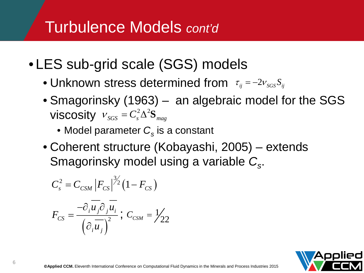### Turbulence Models *cont'd*

- LES sub-grid scale (SGS) models
	- $\bullet$  Unknown stress determined from  $\tau_{ij}$  =  $-2\nu_{\rm sGS} S_{ij}$
	- Smagorinsky (1963) an algebraic model for the SGS  $V$ **iscosity**  $V_{SGS} = C_s^2 \Delta^2 \mathbf{S}_{mag}$ 
		- Model parameter  $C_s$  is a constant
	- Coherent structure (Kobayashi, 2005) extends Smagorinsky model using a variable *Cs*.

$$
C_s^2 = C_{CSM} |F_{CS}|^{3/2} (1 - F_{CS})
$$

$$
F_{CS} = \frac{-\partial_i \overline{u_j} \partial_j \overline{u_i}}{\left(\partial_i \overline{u_j}\right)^2}; \ C_{CSM} = \frac{1}{22}
$$

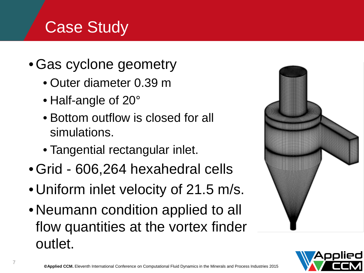### **Case Study**

- Gas cyclone geometry
	- Outer diameter 0.39 m
	- Half-angle of 20°
	- Bottom outflow is closed for all simulations.
	- Tangential rectangular inlet.
- Grid 606,264 hexahedral cells
- Uniform inlet velocity of 21.5 m/s.
- Neumann condition applied to all flow quantities at the vortex finder outlet.



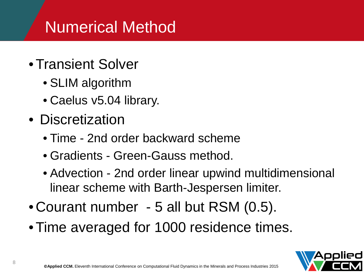# Numerical Method

- Transient Solver
	- SLIM algorithm
	- Caelus v5.04 library.
- Discretization
	- Time 2nd order backward scheme
	- Gradients Green-Gauss method.
	- Advection 2nd order linear upwind multidimensional linear scheme with Barth-Jespersen limiter.
- Courant number 5 all but RSM (0.5).
- Time averaged for 1000 residence times.

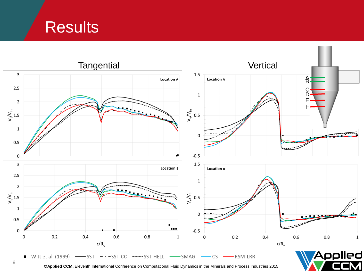**Results** 

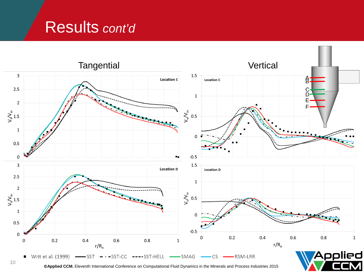### Results *cont'd*



**©Applied CCM.** Eleventh International Conference on Computational Fluid Dynamics in the Minerals and Process Industries 2015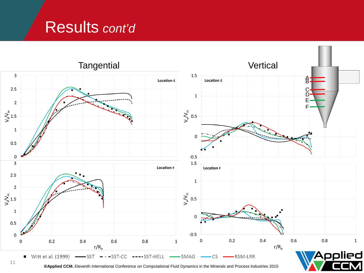### Results *cont'd*



**©Applied CCM.** Eleventh International Conference on Computational Fluid Dynamics in the Minerals and Process Industries 2015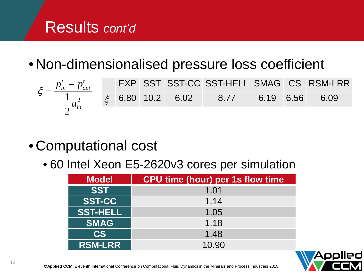### Results *cont'd*

• Non-dimensionalised pressure loss coefficient

| $\xi = \frac{p'_{in} - p'_{out}}{1}$                           |  |  | <b>EXP SST SST-CC SST-HELL SMAG CS RSM-LRR</b> |  |  |
|----------------------------------------------------------------|--|--|------------------------------------------------|--|--|
| $\frac{1}{2}u_{in}^2$ $\xi$ 6.80 10.2 6.02 8.77 6.19 6.56 6.09 |  |  |                                                |  |  |
|                                                                |  |  |                                                |  |  |

#### • Computational cost

• 60 Intel Xeon E5-2620v3 cores per simulation

| <b>Model</b>    | <b>CPU time (hour) per 1s flow time</b> |
|-----------------|-----------------------------------------|
| <b>SST</b>      | 1.01                                    |
| <b>SST-CC</b>   | 1.14                                    |
| <b>SST-HELL</b> | 1.05                                    |
| <b>SMAG</b>     | 1.18                                    |
| CS              | 1.48                                    |
| <b>RSM-LRR</b>  | 10.90                                   |

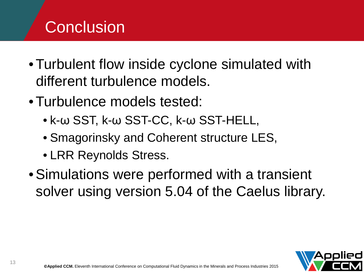# **Conclusion**

- Turbulent flow inside cyclone simulated with different turbulence models.
- Turbulence models tested:
	- k-ω SST, k-ω SST-CC, k-ω SST-HELL,
	- Smagorinsky and Coherent structure LES,
	- LRR Reynolds Stress.
- •Simulations were performed with a transient solver using version 5.04 of the Caelus library.

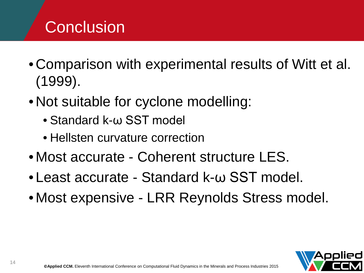## **Conclusion**

- Comparison with experimental results of Witt et al. (1999).
- Not suitable for cyclone modelling:
	- Standard k-ω SST model
	- Hellsten curvature correction
- Most accurate Coherent structure LES.
- Least accurate Standard k-ω SST model.
- Most expensive LRR Reynolds Stress model.

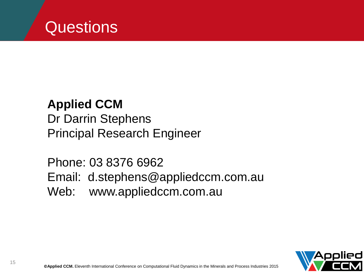

#### **Applied CCM** Dr Darrin Stephens Principal Research Engineer

b: www.appliedcc Phone: 03 8376 6962 Email: d.stephens@appliedccm.com.au Web: www.appliedccm.com.au

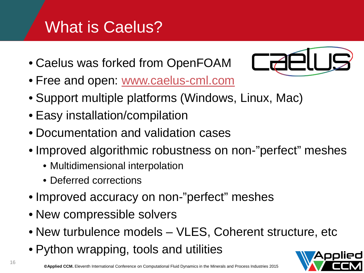# What is Caelus?

• Caelus was forked from OpenFOAM



- Free and open: [www.caelus-cml.com](http://www.caelus-cml.com/)
- Support multiple platforms (Windows, Linux, Mac)
- Easy installation/compilation
- Documentation and validation cases
- Improved algorithmic robustness on non-"perfect" meshes
	- Multidimensional interpolation
	- Deferred corrections
- Improved accuracy on non-"perfect" meshes
- New compressible solvers
- New turbulence models VLES, Coherent structure, etc
- Python wrapping, tools and utilities